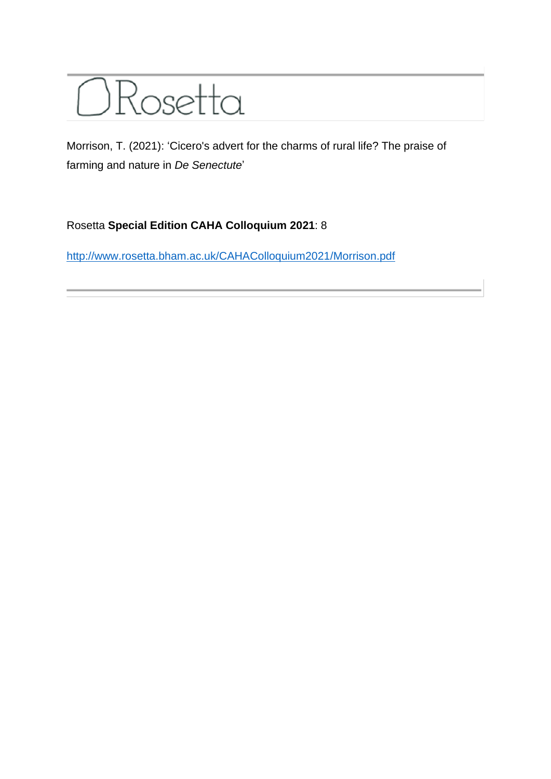

Morrison, T. (2021): 'Cicero's advert for the charms of rural life? The praise of farming and nature in *De Senectute*'

## Rosetta **Special Edition CAHA Colloquium 2021**: 8

<http://www.rosetta.bham.ac.uk/CAHAColloquium2021/Morrison.pdf>